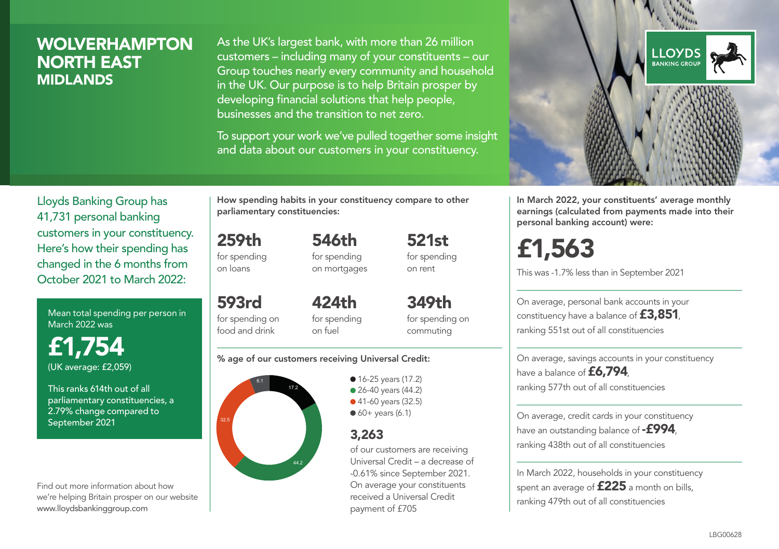### **WOLVERHAMPTON** NORTH EAST MIDLANDS

As the UK's largest bank, with more than 26 million customers – including many of your constituents – our Group touches nearly every community and household in the UK. Our purpose is to help Britain prosper by developing financial solutions that help people, businesses and the transition to net zero.

To support your work we've pulled together some insight and data about our customers in your constituency.



Mean total spending per person in March 2022 was

£1,754 (UK average: £2,059)

This ranks 614th out of all parliamentary constituencies, a 2.79% change compared to September 2021

Find out more information about how we're helping Britain prosper on our website www.lloydsbankinggroup.com

How spending habits in your constituency compare to other parliamentary constituencies:

259th for spending 546th for spending

on loans

593rd

food and drink

on mortgages

521st for spending on rent

for spending on  $424<sub>th</sub>$ for spending on fuel

349th for spending on commuting

#### % age of our customers receiving Universal Credit:



• 16-25 years (17.2) • 26-40 years (44.2) ● 41-60 years (32.5)  $60+$  years (6.1)

### 3,263

of our customers are receiving Universal Credit – a decrease of -0.61% since September 2021. On average your constituents received a Universal Credit payment of £705



In March 2022, your constituents' average monthly earnings (calculated from payments made into their personal banking account) were:

# £1,563

This was -1.7% less than in September 2021

On average, personal bank accounts in your constituency have a balance of £3,851, ranking 551st out of all constituencies

On average, savings accounts in your constituency have a balance of £6,794. ranking 577th out of all constituencies

On average, credit cards in your constituency have an outstanding balance of **-£994** ranking 438th out of all constituencies

In March 2022, households in your constituency spent an average of £225 a month on bills, ranking 479th out of all constituencies